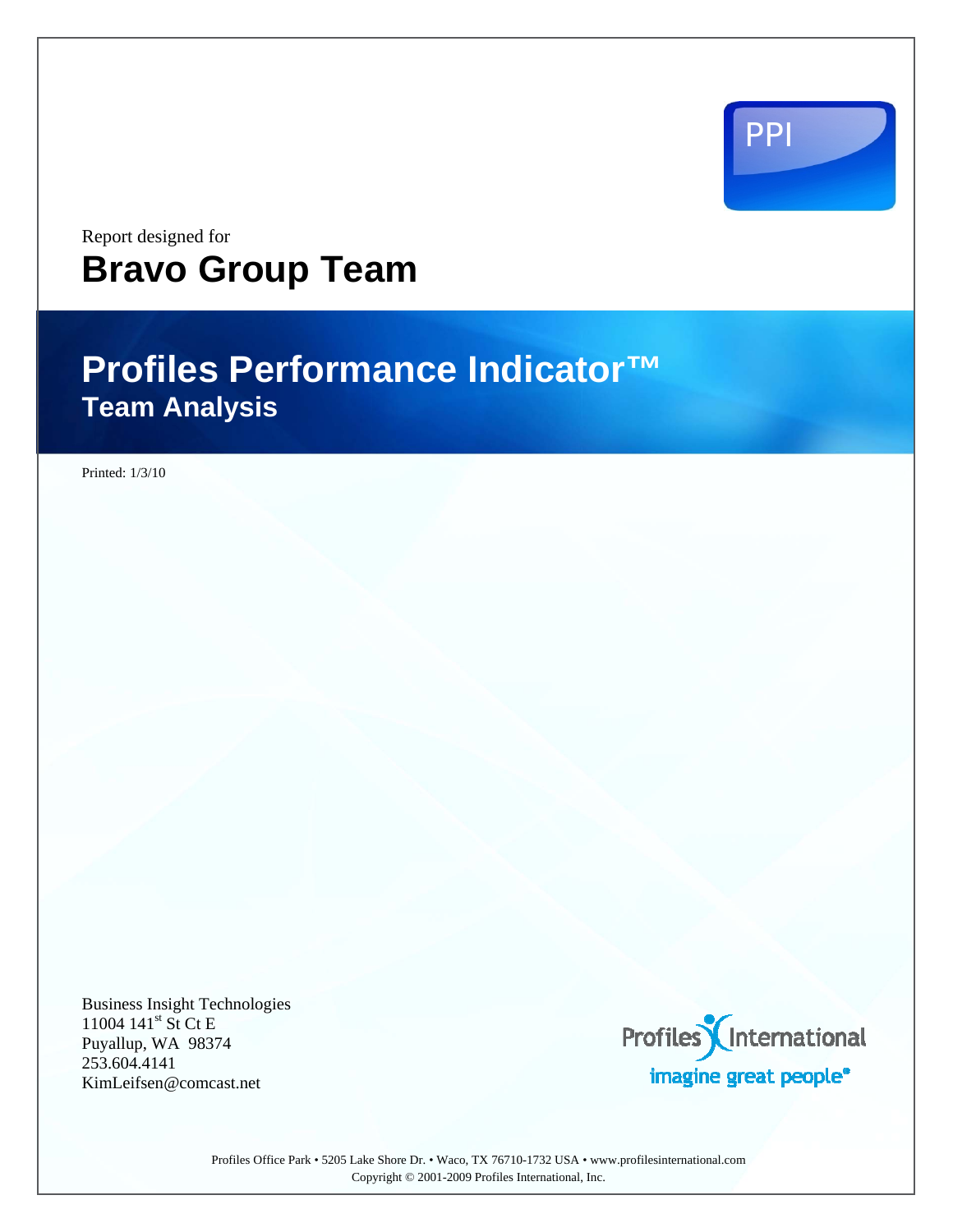PPI

Report designed for **Bravo Group Team** 

# **Profiles Performance Indicator™ Team Analysis**

Printed: 1/3/10

Business Insight Technologies 11004 141<sup>st</sup> St Ct E Puyallup, WA 98374 253.604.4141 KimLeifsen@comcast.net



Profiles Office Park • 5205 Lake Shore Dr. • Waco, TX 76710-1732 USA • www.profilesinternational.com Copyright © 2001-2009 Profiles International, Inc.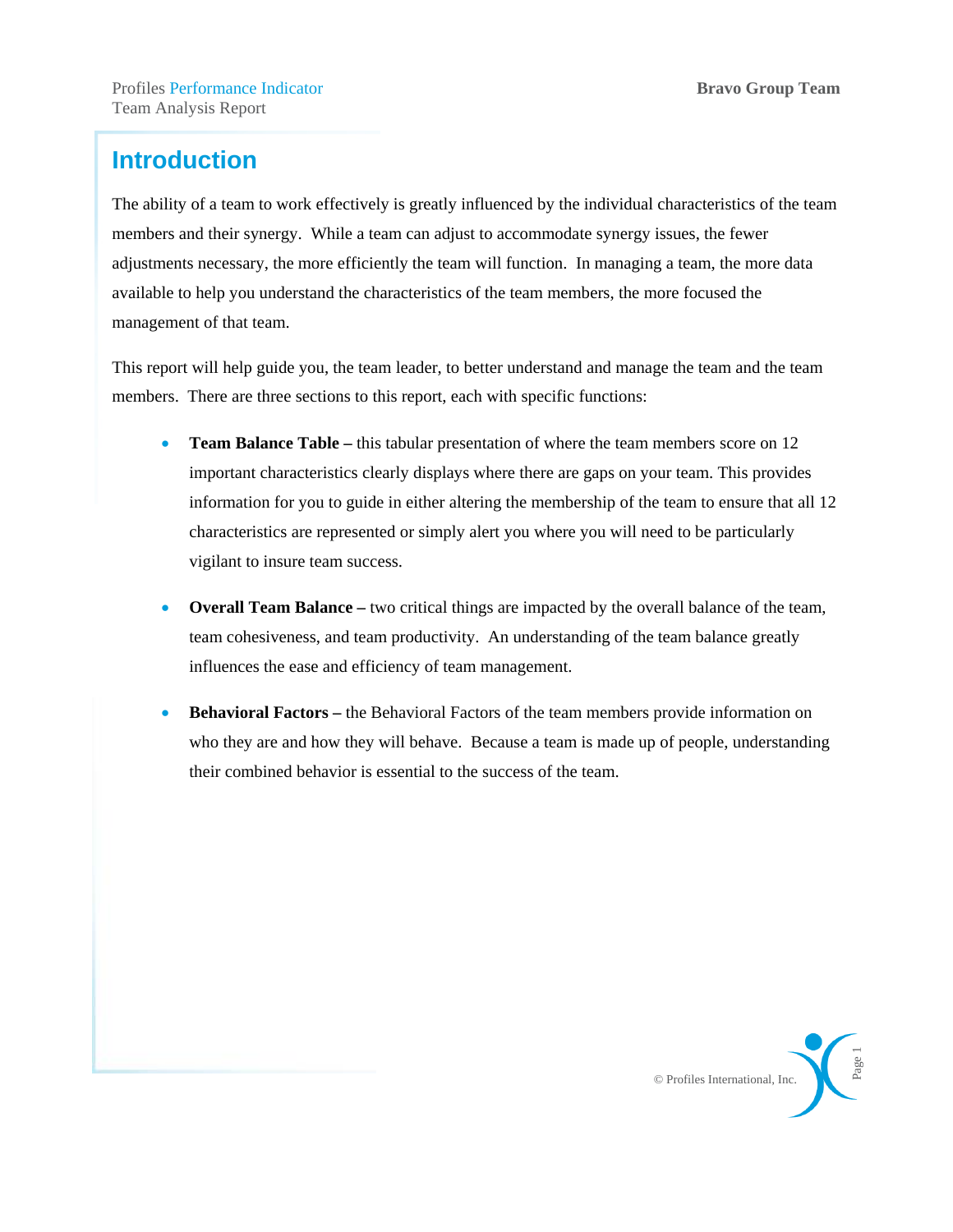## **Introduction**

The ability of a team to work effectively is greatly influenced by the individual characteristics of the team members and their synergy. While a team can adjust to accommodate synergy issues, the fewer adjustments necessary, the more efficiently the team will function. In managing a team, the more data available to help you understand the characteristics of the team members, the more focused the management of that team.

This report will help guide you, the team leader, to better understand and manage the team and the team members. There are three sections to this report, each with specific functions:

- **Team Balance Table** this tabular presentation of where the team members score on 12 important characteristics clearly displays where there are gaps on your team. This provides information for you to guide in either altering the membership of the team to ensure that all 12 characteristics are represented or simply alert you where you will need to be particularly vigilant to insure team success.
- **Overall Team Balance** two critical things are impacted by the overall balance of the team, team cohesiveness, and team productivity. An understanding of the team balance greatly influences the ease and efficiency of team management.
- **Behavioral Factors** the Behavioral Factors of the team members provide information on who they are and how they will behave. Because a team is made up of people, understanding their combined behavior is essential to the success of the team.

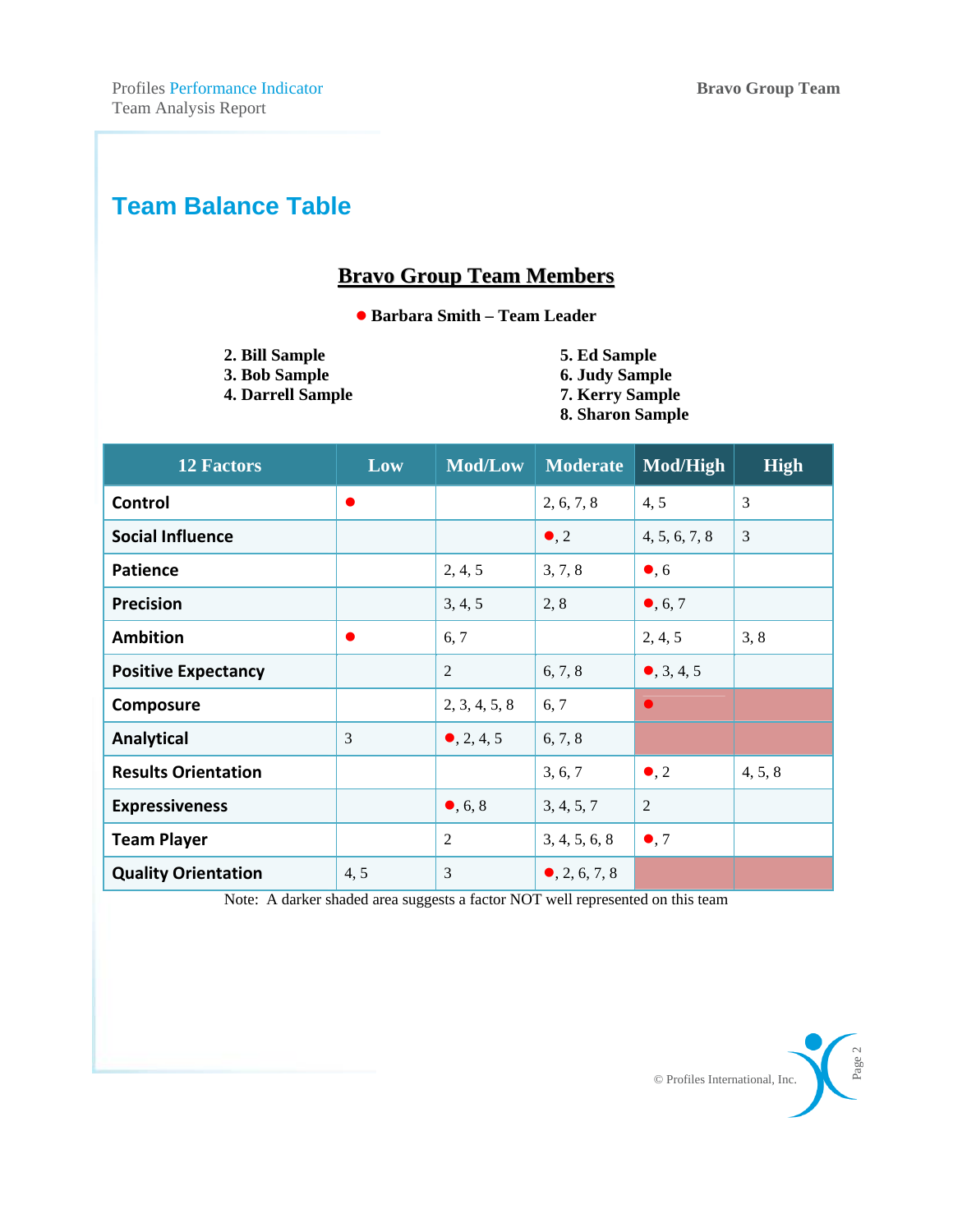## **Team Balance Table**

## **Bravo Group Team Members**

z **Barbara Smith – Team Leader** 

- **2. Bill Sample 5. Ed Sample**
- **3. Bob Sample 6. Judy Sample**
- **4. Darrell Sample 7. Kerry Sample**
- -
	-
	- **8. Sharon Sample**

| <b>12 Factors</b>          | Low  | Mod/Low             | <b>Moderate</b>        | Mod/High            | <b>High</b> |
|----------------------------|------|---------------------|------------------------|---------------------|-------------|
| <b>Control</b>             | ●    |                     | 2, 6, 7, 8             | 4, 5                | 3           |
| <b>Social Influence</b>    |      |                     | $\bullet$ , 2          | 4, 5, 6, 7, 8       | 3           |
| <b>Patience</b>            |      | 2, 4, 5             | 3, 7, 8                | $\bullet$ , 6       |             |
| <b>Precision</b>           |      | 3, 4, 5             | 2, 8                   | $\bullet$ , 6, 7    |             |
| <b>Ambition</b>            |      | 6, 7                |                        | 2, 4, 5             | 3, 8        |
| <b>Positive Expectancy</b> |      | $\overline{2}$      | 6, 7, 8                | $\bullet$ , 3, 4, 5 |             |
| Composure                  |      | 2, 3, 4, 5, 8       | 6, 7                   | $\bullet$           |             |
| <b>Analytical</b>          | 3    | $\bullet$ , 2, 4, 5 | 6, 7, 8                |                     |             |
| <b>Results Orientation</b> |      |                     | 3, 6, 7                | $\bullet$ , 2       | 4, 5, 8     |
| <b>Expressiveness</b>      |      | $\bullet$ , 6, 8    | 3, 4, 5, 7             | $\mathbf{2}$        |             |
| <b>Team Player</b>         |      | 2                   | 3, 4, 5, 6, 8          | $\bullet$ , 7       |             |
| <b>Quality Orientation</b> | 4, 5 | 3                   | $\bullet$ , 2, 6, 7, 8 |                     |             |

Note: A darker shaded area suggests a factor NOT well represented on this team

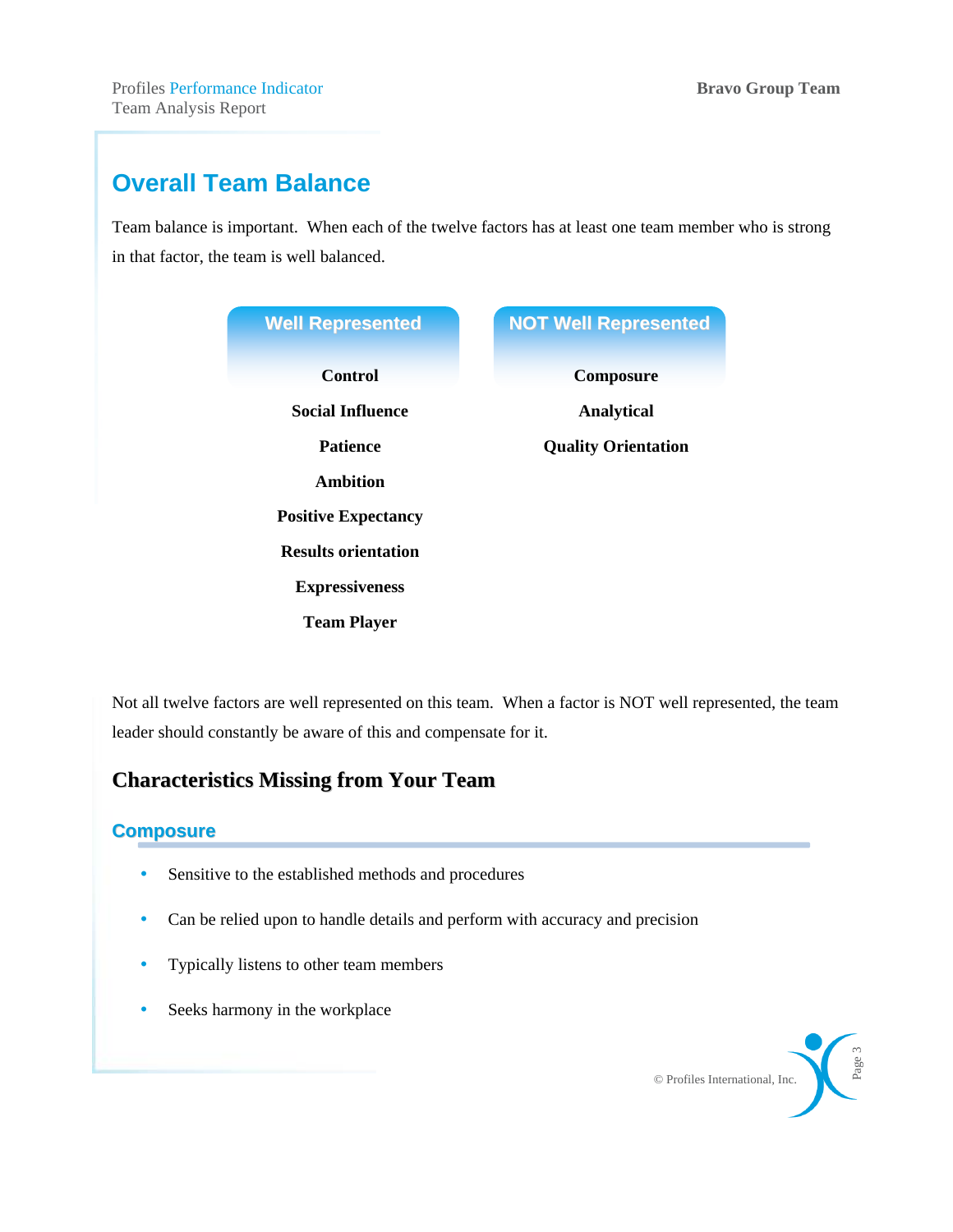## **Overall Team Balance**

Team balance is important. When each of the twelve factors has at least one team member who is strong in that factor, the team is well balanced.

| <b>Well Represented</b>    | <b>NOT Well Represented</b> |
|----------------------------|-----------------------------|
| <b>Control</b>             | Composure                   |
| <b>Social Influence</b>    | <b>Analytical</b>           |
| <b>Patience</b>            | <b>Quality Orientation</b>  |
| <b>Ambition</b>            |                             |
| <b>Positive Expectancy</b> |                             |
| <b>Results orientation</b> |                             |
| <b>Expressiveness</b>      |                             |
| <b>Team Player</b>         |                             |

Not all twelve factors are well represented on this team. When a factor is NOT well represented, the team leader should constantly be aware of this and compensate for it.

## **Characteristics Missing from Your Team**

## **Composure**

- Sensitive to the established methods and procedures
- Can be relied upon to handle details and perform with accuracy and precision
- Typically listens to other team members
- Seeks harmony in the workplace

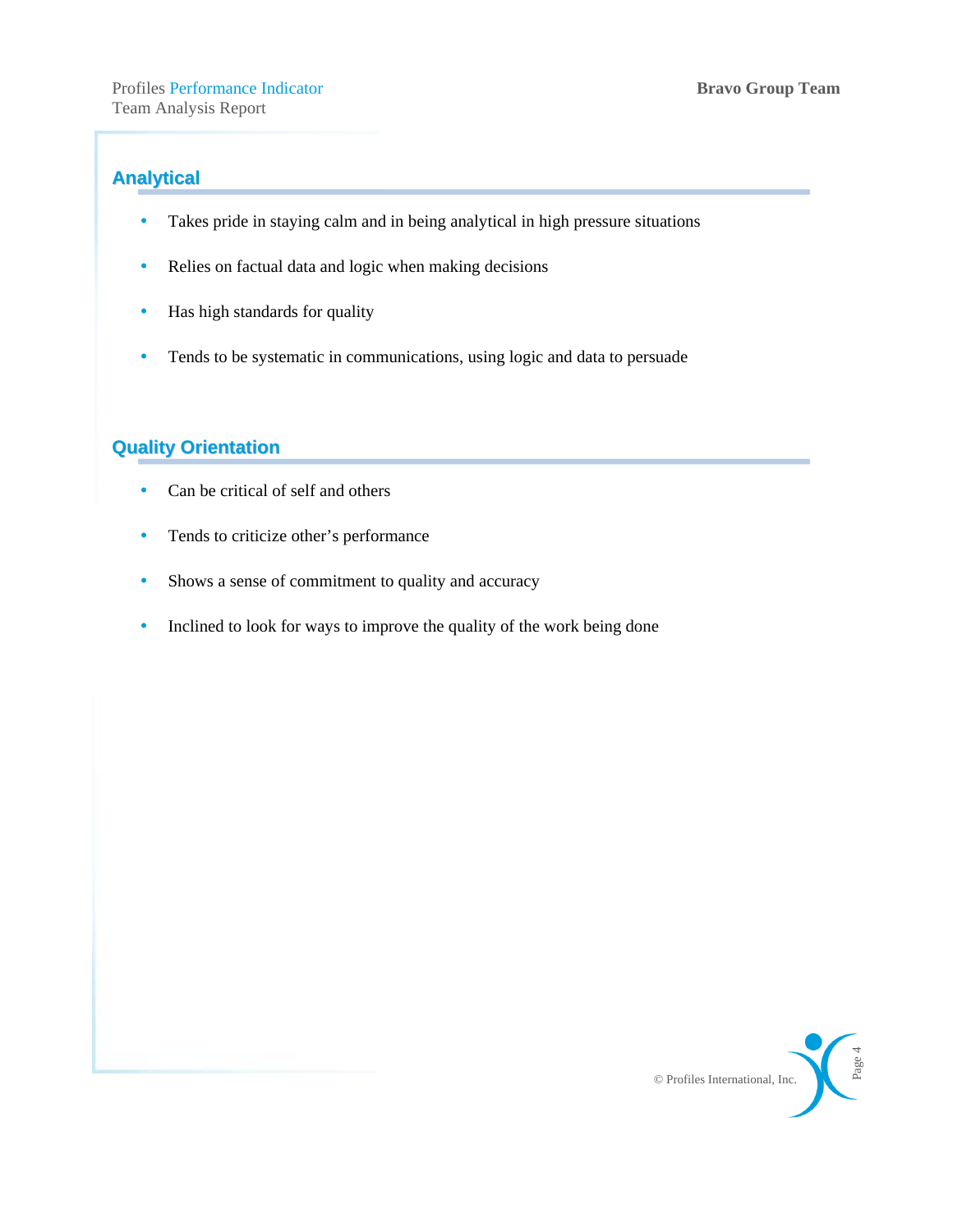## **Analytical**

- Takes pride in staying calm and in being analytical in high pressure situations
- Relies on factual data and logic when making decisions
- Has high standards for quality
- Tends to be systematic in communications, using logic and data to persuade

## **Quality Orientation**

- Can be critical of self and others
- Tends to criticize other's performance
- Shows a sense of commitment to quality and accuracy
- Inclined to look for ways to improve the quality of the work being done

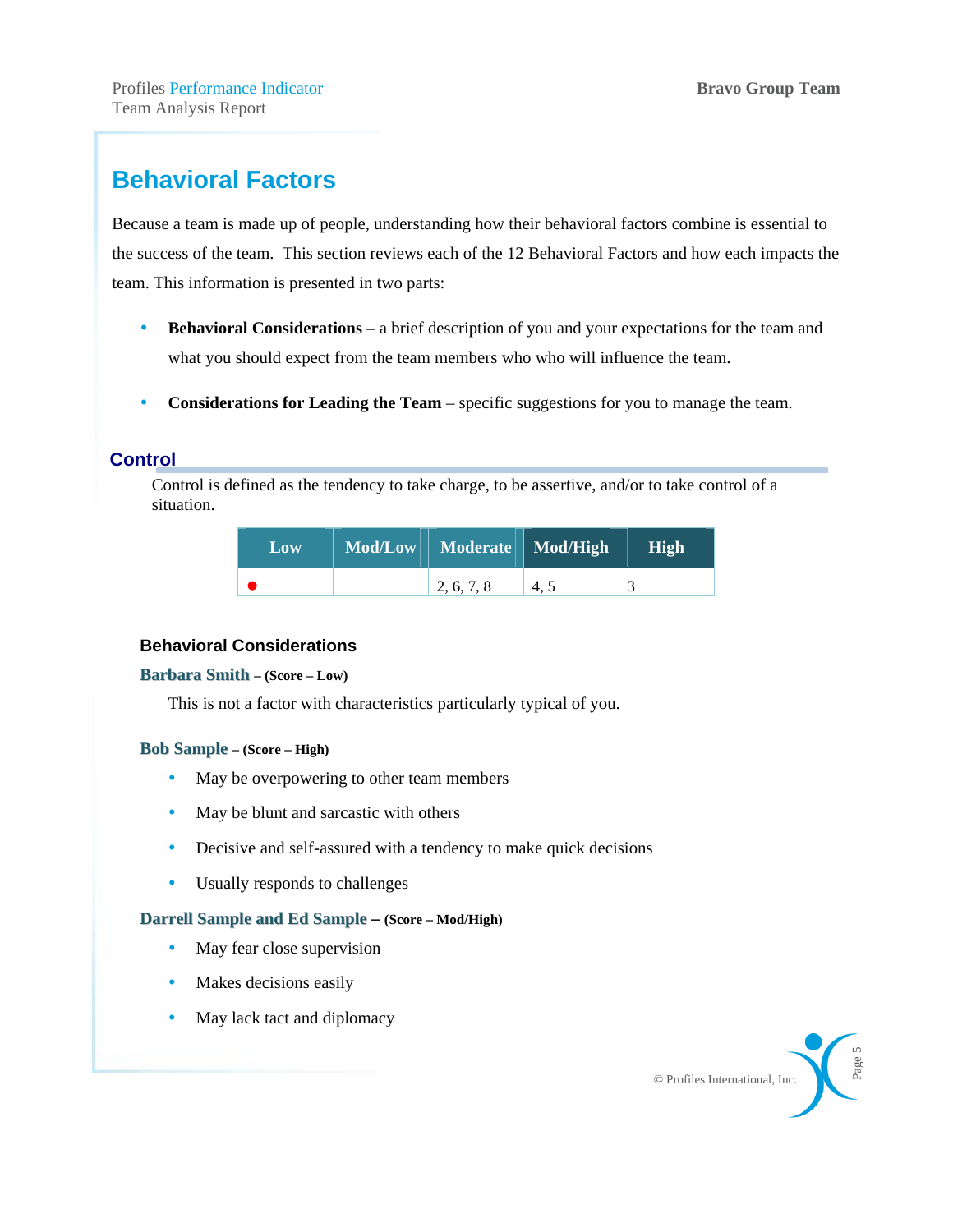## **Behavioral Factors**

Because a team is made up of people, understanding how their behavioral factors combine is essential to the success of the team. This section reviews each of the 12 Behavioral Factors and how each impacts the team. This information is presented in two parts:

- **Behavioral Considerations** a brief description of you and your expectations for the team and what you should expect from the team members who who will influence the team.
- **Considerations for Leading the Team** specific suggestions for you to manage the team.

## **Control**

Control is defined as the tendency to take charge, to be assertive, and/or to take control of a situation.

| Low | Mod/Low   Moderate   Mod/High |     | High |
|-----|-------------------------------|-----|------|
|     | 2, 6, 7, 8                    | 4.5 |      |

#### **Behavioral Considerations**

#### **Barbara Smith – (Score – Low)**

This is not a factor with characteristics particularly typical of you.

#### **Bob Sample – (Score – High)**

- May be overpowering to other team members
- May be blunt and sarcastic with others
- Decisive and self-assured with a tendency to make quick decisions
- Usually responds to challenges

#### **Darrell Sample and Ed Sample – (Score – Mod/High)**

- May fear close supervision
- Makes decisions easily
- May lack tact and diplomacy

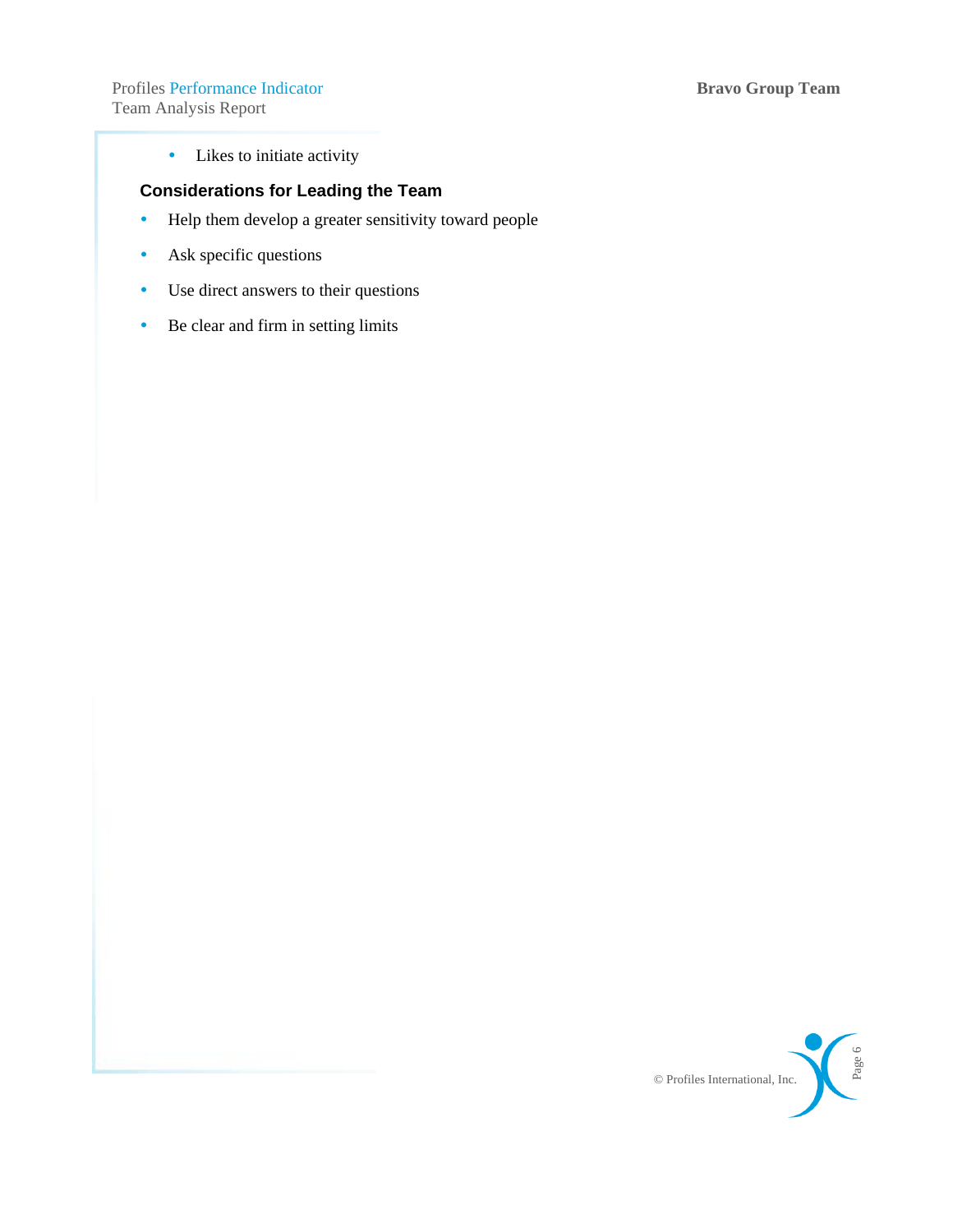## Profiles Performance Indicator **Bravo Group Team**

Team Analysis Report

• Likes to initiate activity

- Help them develop a greater sensitivity toward people
- $\bullet$  Ask specific questions
- $\bullet$  Use direct answers to their questions
- Be clear and firm in setting limits

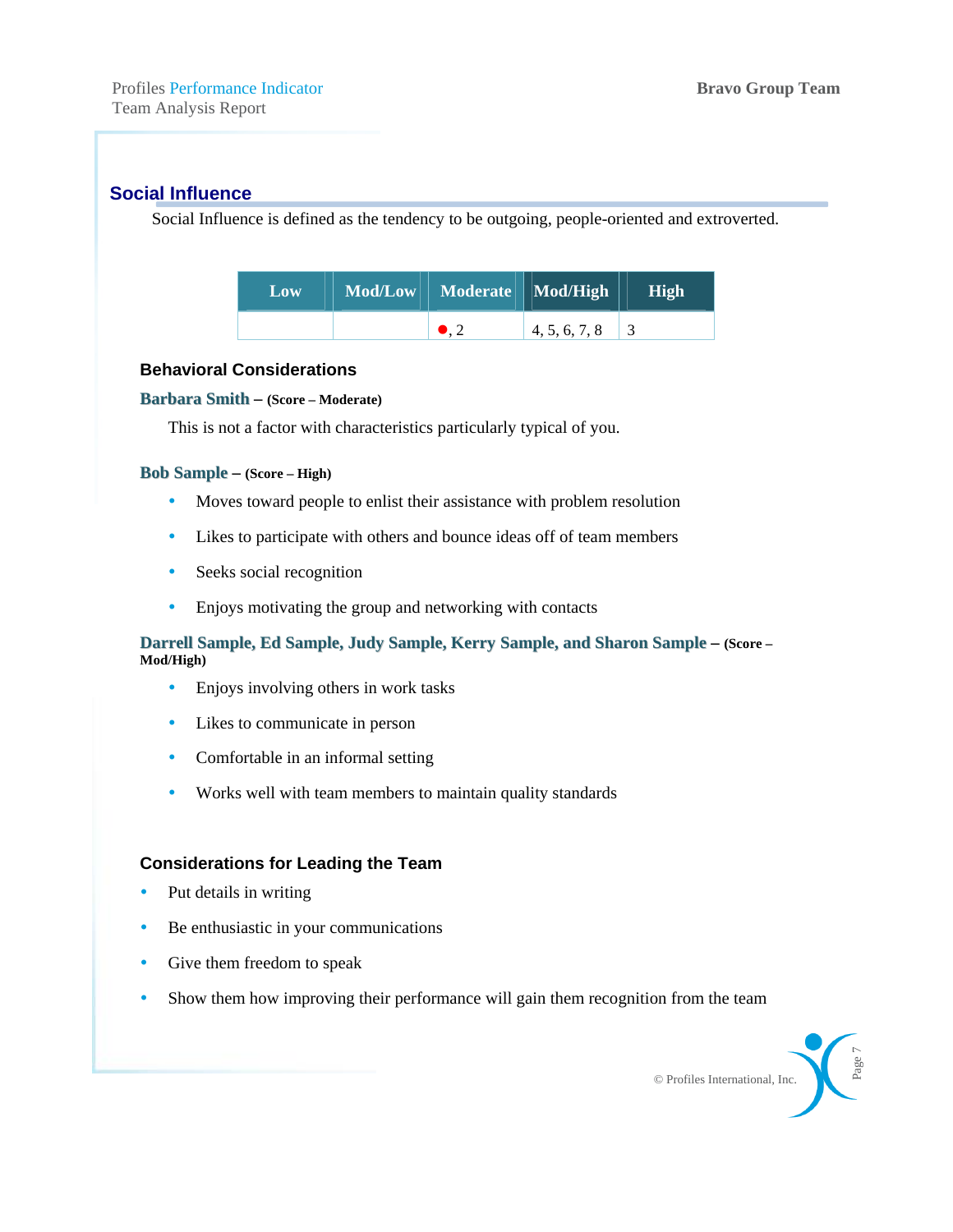### **Social Influence**

Social Influence is defined as the tendency to be outgoing, people-oriented and extroverted.

| Low | Mod/Low   Moderate   Mod/High |               | <b>High</b> |
|-----|-------------------------------|---------------|-------------|
|     |                               | 4, 5, 6, 7, 8 |             |

#### **Behavioral Considerations**

#### **Barbara Smith – (Score – Moderate)**

This is not a factor with characteristics particularly typical of you.

#### **Bob Sample – (Score – High)**

- Moves toward people to enlist their assistance with problem resolution
- y Likes to participate with others and bounce ideas off of team members
- Seeks social recognition
- Enjoys motivating the group and networking with contacts

#### **Darrell Sample, Ed Sample, Judy Sample, Kerry Sample, and Sharon Sample – (Score – Mod/High)**

- Enjoys involving others in work tasks
- Likes to communicate in person
- Comfortable in an informal setting
- Works well with team members to maintain quality standards

- Put details in writing
- Be enthusiastic in your communications
- Give them freedom to speak
- Show them how improving their performance will gain them recognition from the team

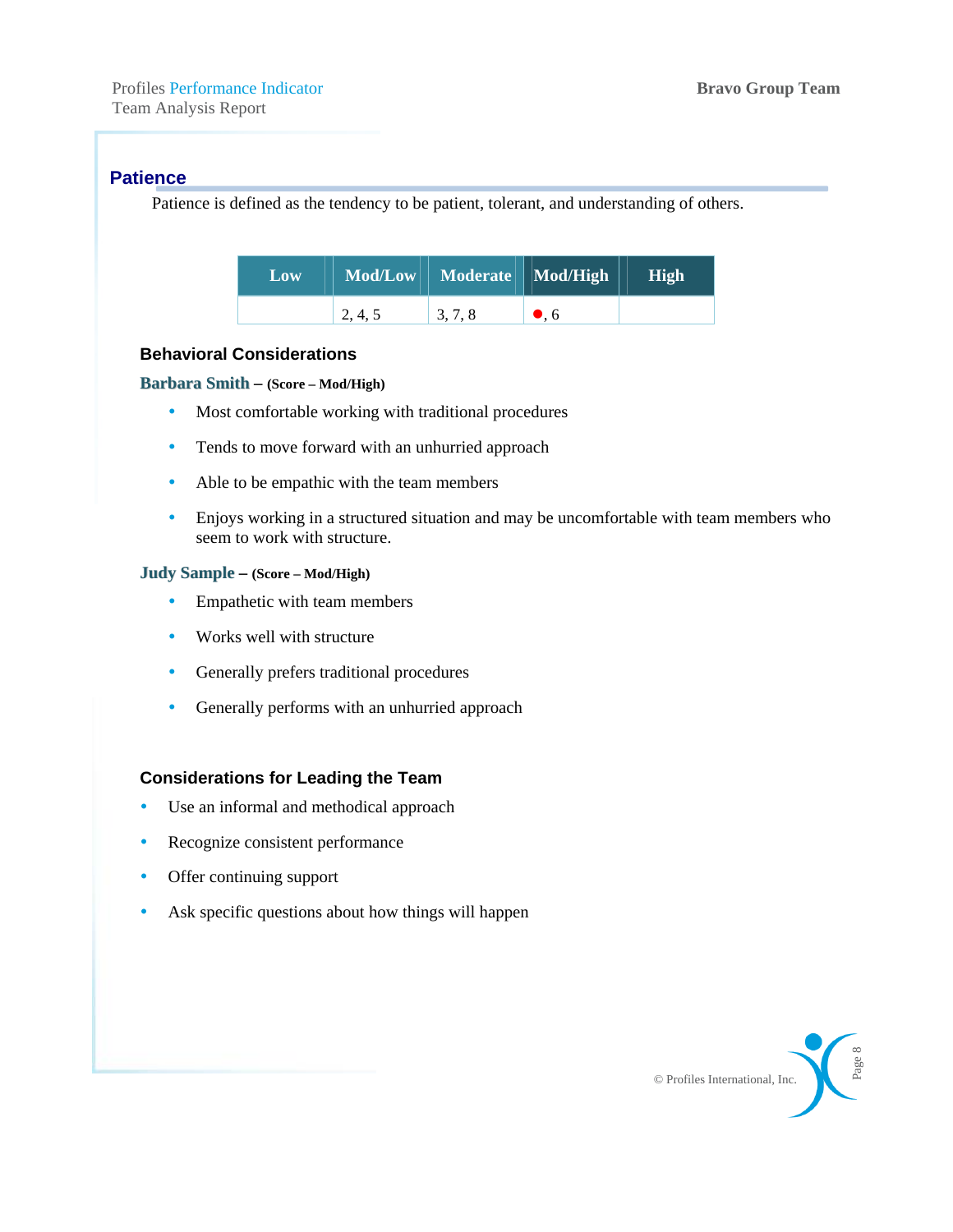#### **Patience**

Patience is defined as the tendency to be patient, tolerant, and understanding of others.

| Low | Mod/Low   Moderate   Mod/High |       |              | High |
|-----|-------------------------------|-------|--------------|------|
|     | 2, 4, 5                       | 3.7.8 | $\bullet$ .6 |      |

#### **Behavioral Considerations**

#### **Barbara Smith – (Score – Mod/High)**

- Most comfortable working with traditional procedures
- Tends to move forward with an unhurried approach
- Able to be empathic with the team members
- Enjoys working in a structured situation and may be uncomfortable with team members who seem to work with structure.

#### **Judy Sample – (Score – Mod/High)**

- Empathetic with team members
- Works well with structure
- Generally prefers traditional procedures
- Generally performs with an unhurried approach

- Use an informal and methodical approach
- Recognize consistent performance
- Offer continuing support
- Ask specific questions about how things will happen

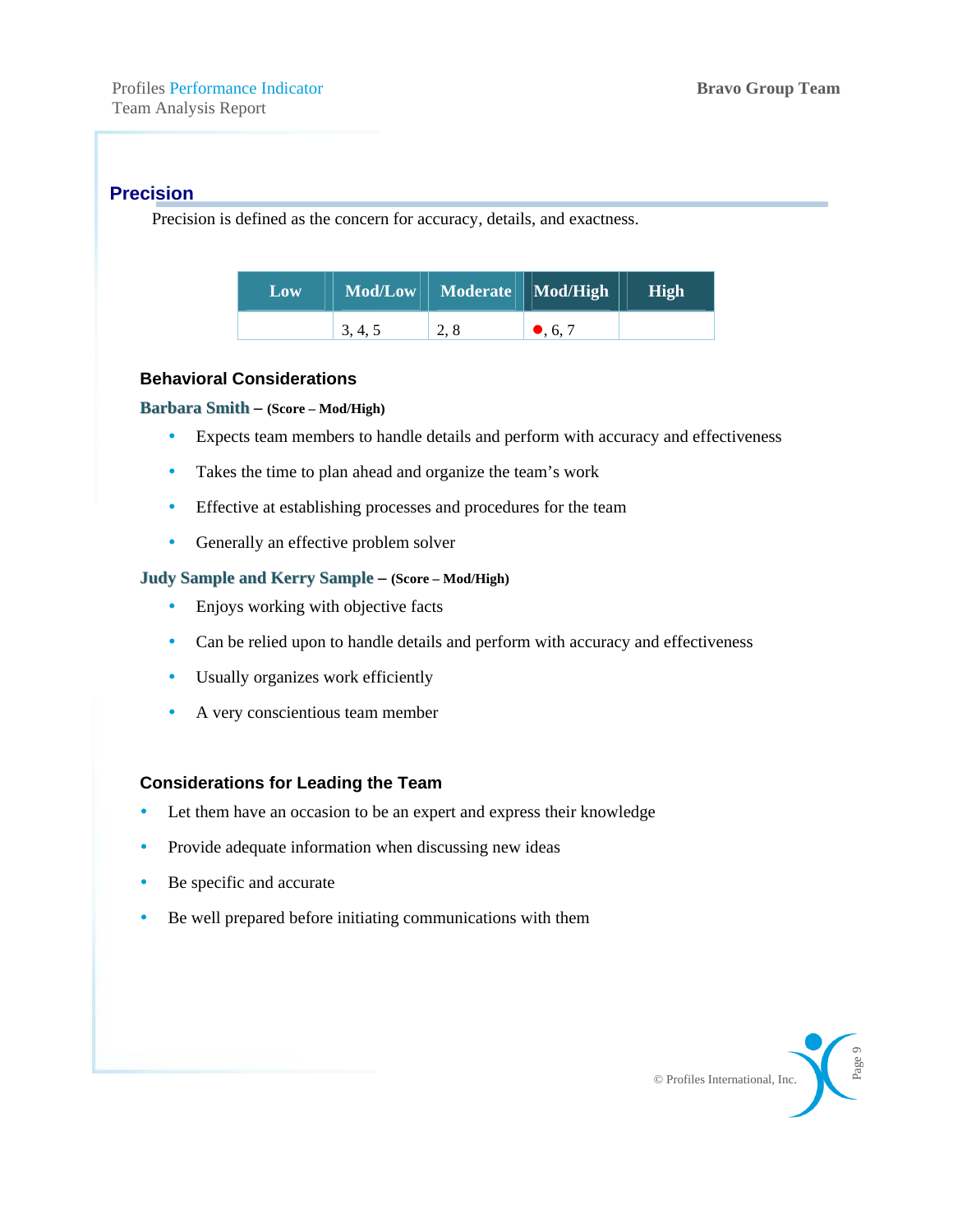## **Precision**

Precision is defined as the concern for accuracy, details, and exactness.

| Low |         | Mod/Low   Moderate   Mod/High |                  | <b>High</b> |
|-----|---------|-------------------------------|------------------|-------------|
|     | 3, 4, 5 | 2,8                           | $\bullet$ , 6, 7 |             |

#### **Behavioral Considerations**

#### **Barbara Smith – (Score – Mod/High)**

- y Expects team members to handle details and perform with accuracy and effectiveness
- Takes the time to plan ahead and organize the team's work
- **•** Effective at establishing processes and procedures for the team
- Generally an effective problem solver

#### **Judy Sample and Kerry Sample – (Score – Mod/High)**

- Enjoys working with objective facts
- Can be relied upon to handle details and perform with accuracy and effectiveness
- Usually organizes work efficiently
- A very conscientious team member

- y Let them have an occasion to be an expert and express their knowledge
- Provide adequate information when discussing new ideas
- $\bullet$  Be specific and accurate
- Be well prepared before initiating communications with them

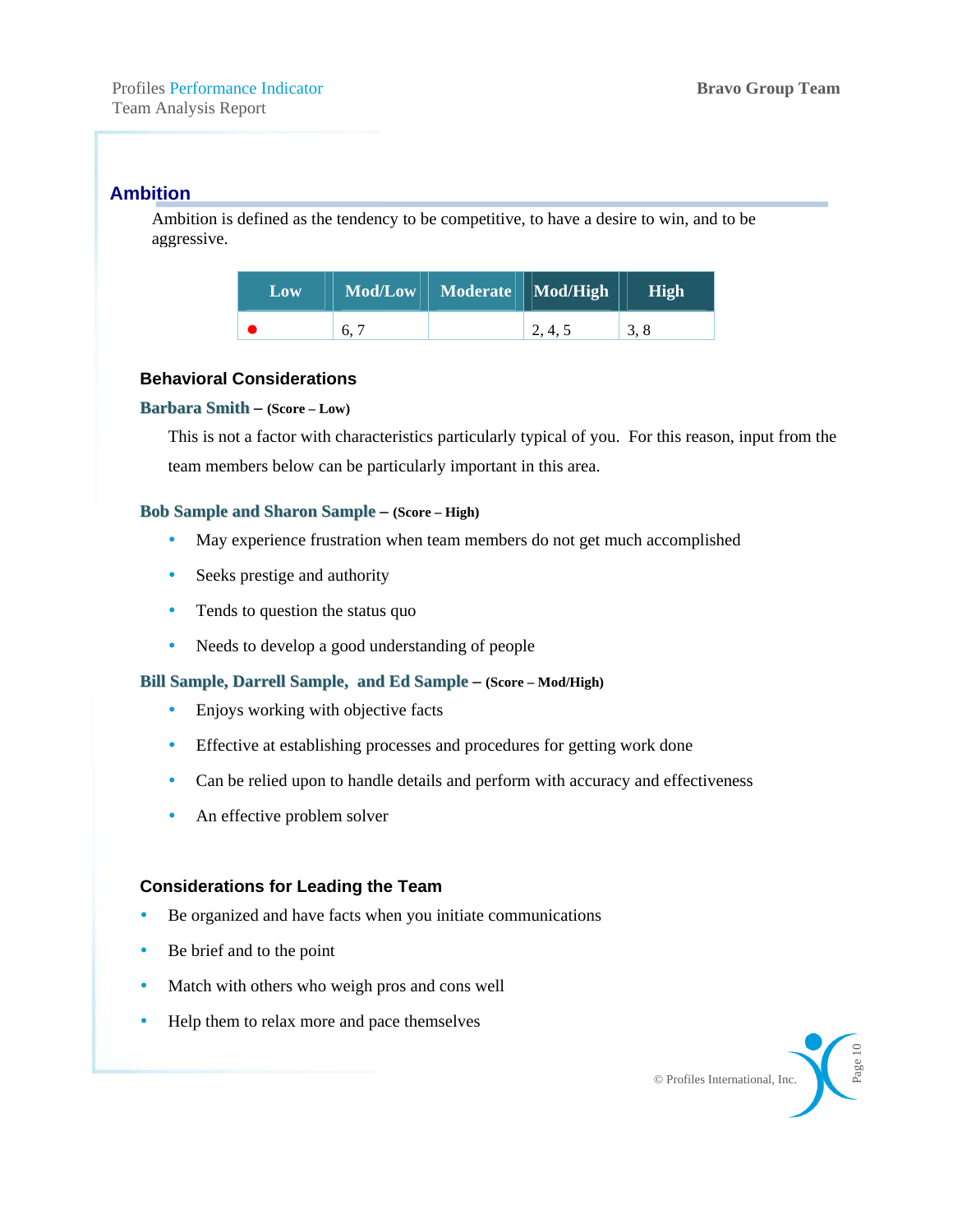## **Ambition**

Ambition is defined as the tendency to be competitive, to have a desire to win, and to be aggressive.

| Low | Mod/Low   Moderate   Mod/High |         | <b>High</b> |
|-----|-------------------------------|---------|-------------|
|     |                               | 2, 4, 5 | 3.8         |

#### **Behavioral Considerations**

#### **Barbara Smith – (Score – Low)**

This is not a factor with characteristics particularly typical of you. For this reason, input from the team members below can be particularly important in this area.

#### **Bob Sample and Sharon Sample – (Score – High)**

- May experience frustration when team members do not get much accomplished
- Seeks prestige and authority
- $\bullet$  Tends to question the status quo
- Needs to develop a good understanding of people

#### **Bill Sample, Darrell Sample, and Ed Sample – (Score – Mod/High)**

- Enjoys working with objective facts
- Effective at establishing processes and procedures for getting work done
- Can be relied upon to handle details and perform with accuracy and effectiveness
- $\bullet$  An effective problem solver

- Be organized and have facts when you initiate communications
- $\bullet$  Be brief and to the point
- Match with others who weigh pros and cons well
- Help them to relax more and pace themselves

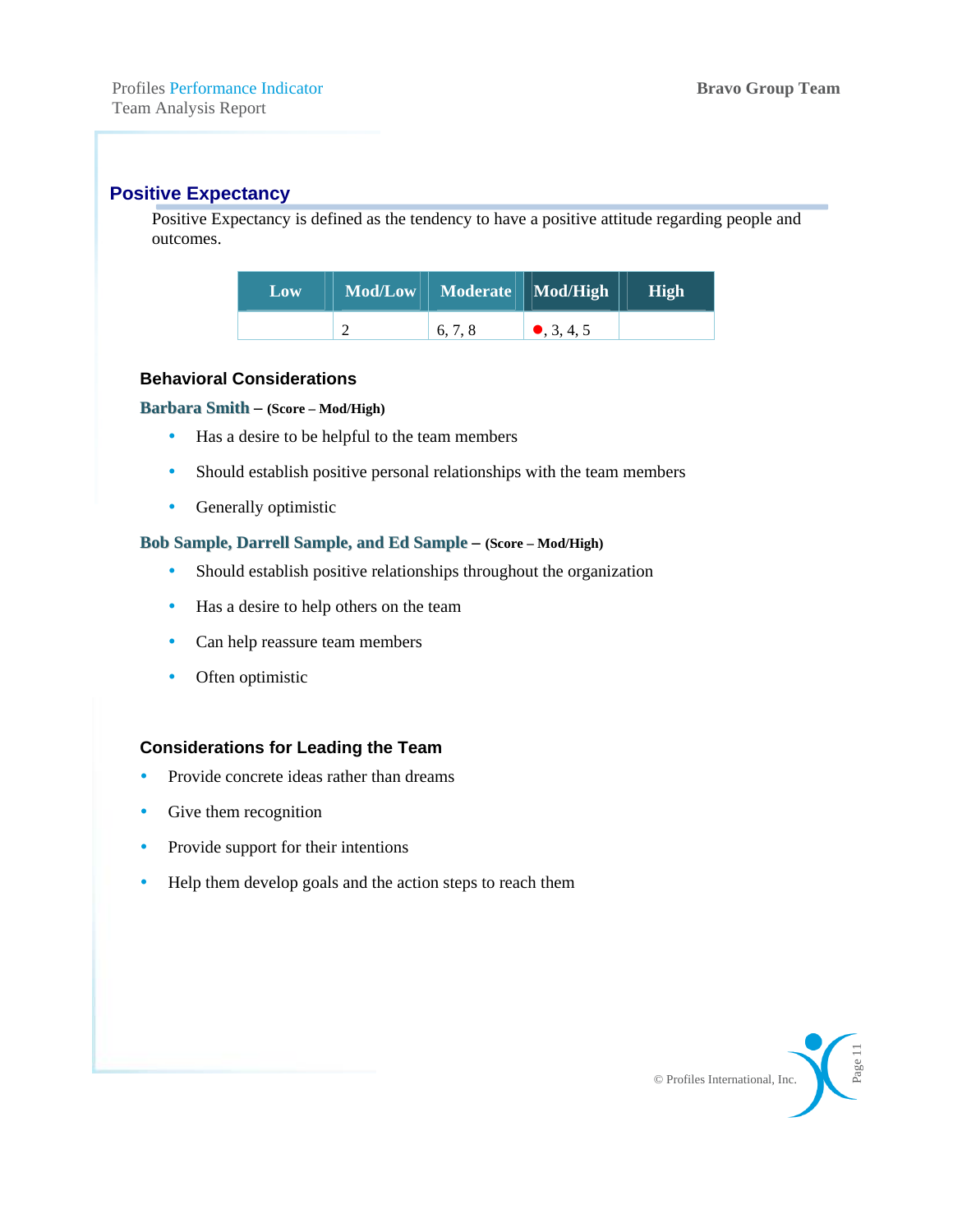## **Positive Expectancy**

Positive Expectancy is defined as the tendency to have a positive attitude regarding people and outcomes.

| Low | Mod/Low Moderate Mod/High |                     | High |
|-----|---------------------------|---------------------|------|
|     | 6.7.8                     | $\bullet$ , 3, 4, 5 |      |

#### **Behavioral Considerations**

#### **Barbara Smith – (Score – Mod/High)**

- y Has a desire to be helpful to the team members
- Should establish positive personal relationships with the team members
- Generally optimistic

#### **Bob Sample, Darrell Sample, and Ed Sample – (Score – Mod/High)**

- Should establish positive relationships throughout the organization
- Has a desire to help others on the team
- Can help reassure team members
- Often optimistic

- Provide concrete ideas rather than dreams
- $\bullet$  Give them recognition
- Provide support for their intentions
- Help them develop goals and the action steps to reach them

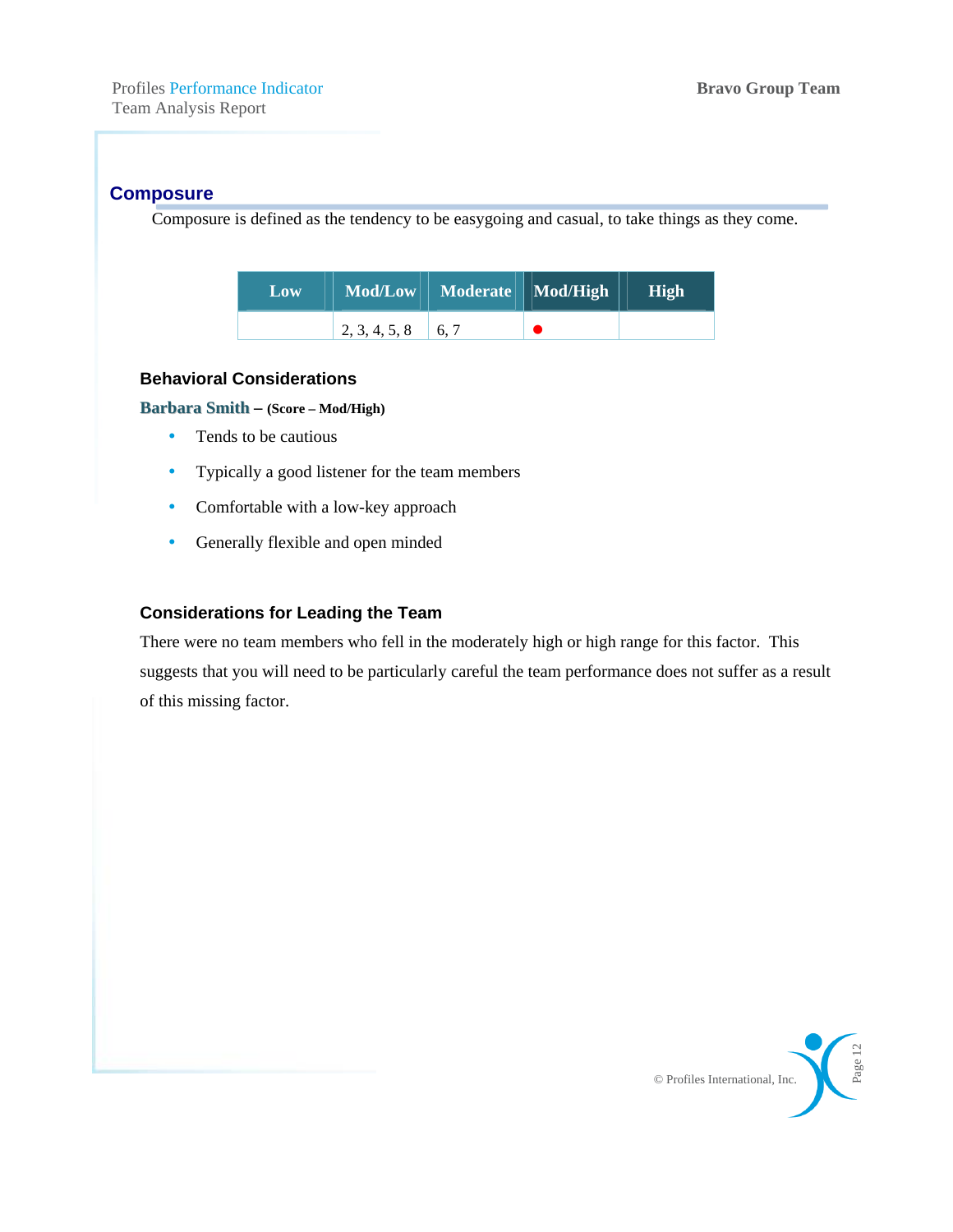## **Composure**

Composure is defined as the tendency to be easygoing and casual, to take things as they come.

| Low |               | Mod/Low   Moderate   Mod/High | High |
|-----|---------------|-------------------------------|------|
|     | 2, 3, 4, 5, 8 | 6.7                           |      |

#### **Behavioral Considerations**

**Barbara Smith – (Score – Mod/High)**

- Tends to be cautious
- Typically a good listener for the team members
- Comfortable with a low-key approach
- Generally flexible and open minded

#### **Considerations for Leading the Team**

There were no team members who fell in the moderately high or high range for this factor. This suggests that you will need to be particularly careful the team performance does not suffer as a result of this missing factor.

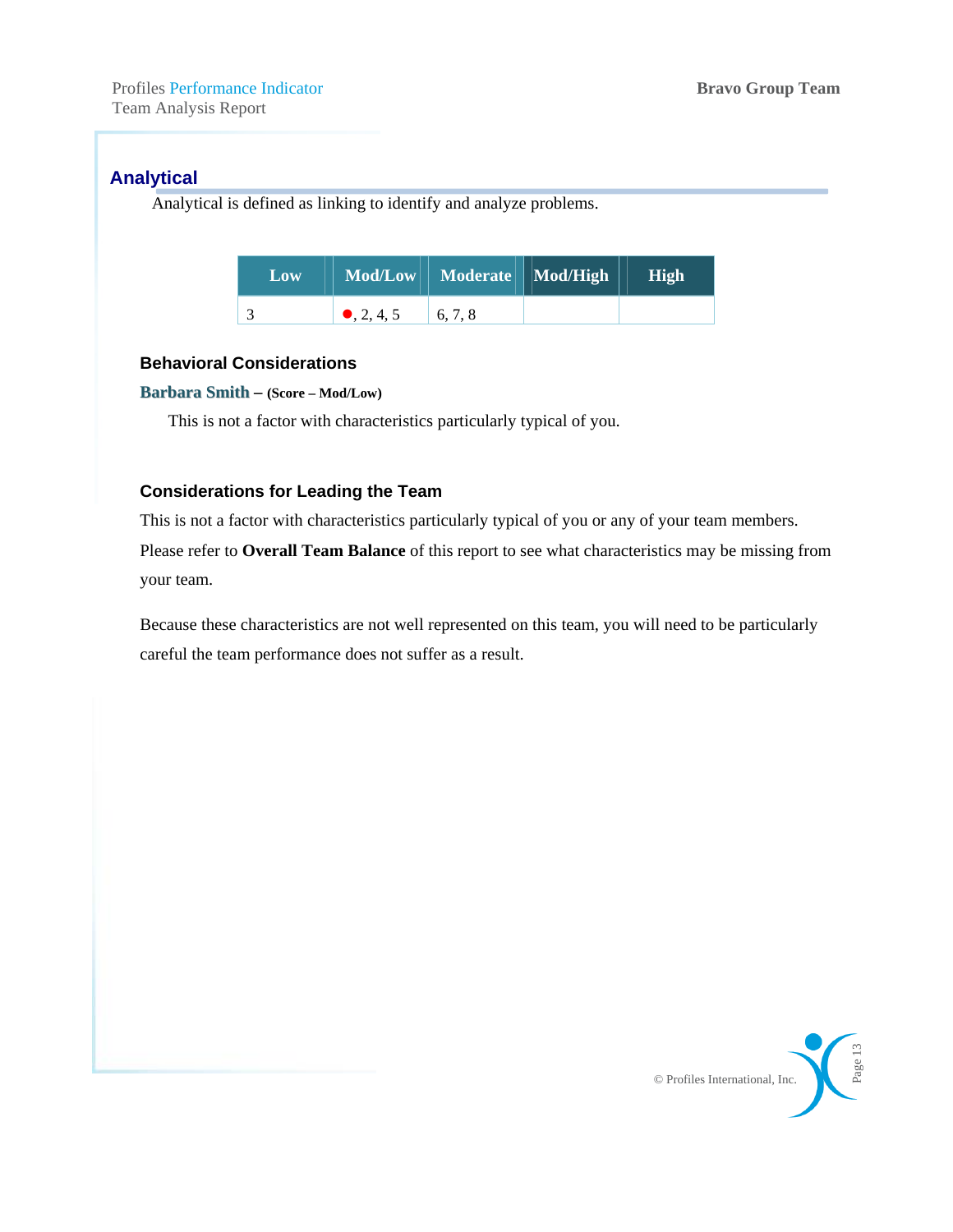## **Analytical**

Analytical is defined as linking to identify and analyze problems.

| Low |                     | Mod/Low   Moderate   Mod/High | High |
|-----|---------------------|-------------------------------|------|
|     | $\bullet$ , 2, 4, 5 | 6, 7, 8                       |      |

## **Behavioral Considerations**

#### **Barbara Smith – (Score – Mod/Low)**

This is not a factor with characteristics particularly typical of you.

## **Considerations for Leading the Team**

This is not a factor with characteristics particularly typical of you or any of your team members.

Please refer to **Overall Team Balance** of this report to see what characteristics may be missing from your team.

Because these characteristics are not well represented on this team, you will need to be particularly careful the team performance does not suffer as a result.

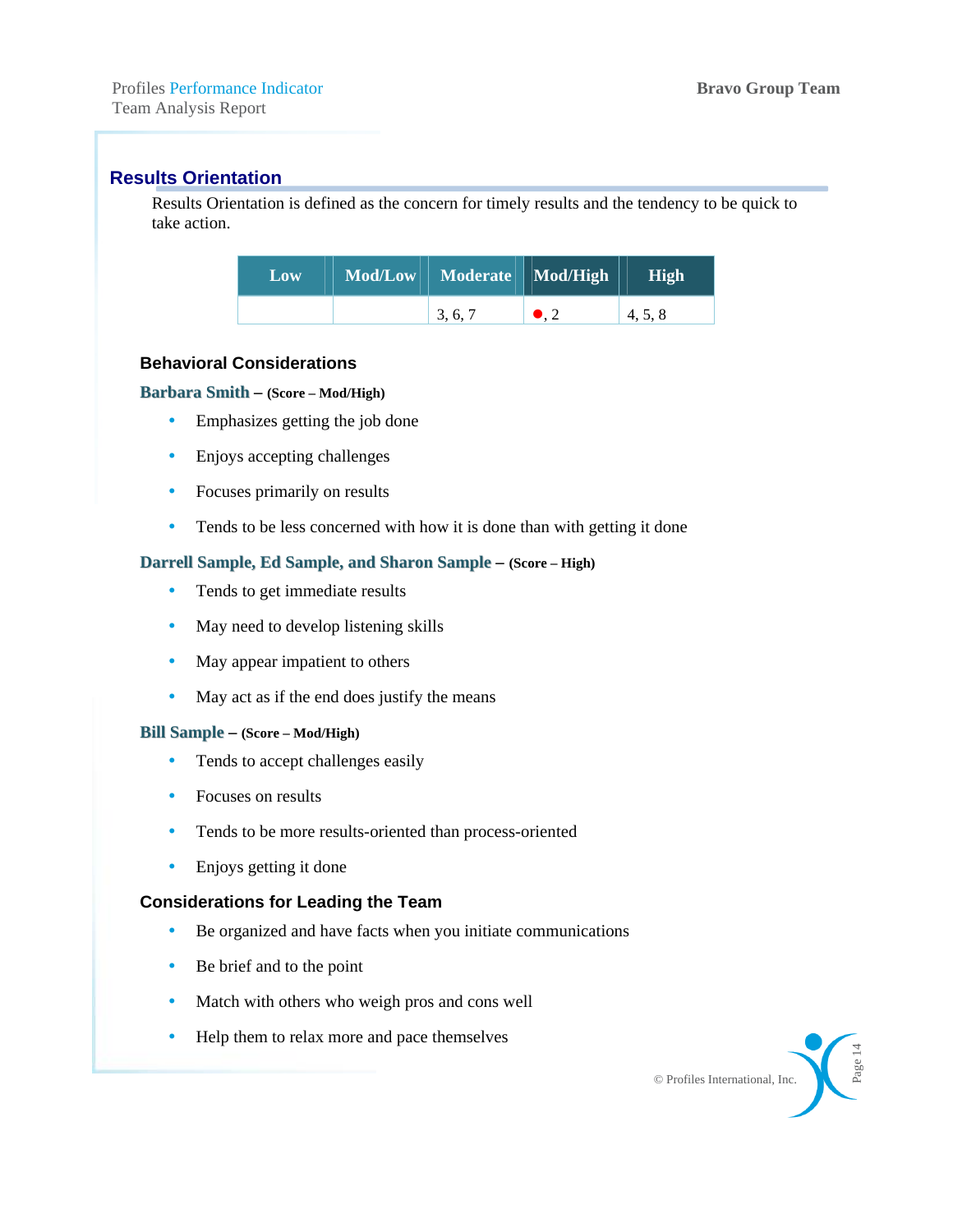## **Results Orientation**

Results Orientation is defined as the concern for timely results and the tendency to be quick to take action.

| Low | Mod/Low Moderate Mod/High |               | High    |
|-----|---------------------------|---------------|---------|
|     | 3, 6, 7                   | $\bullet$ . 2 | 4, 5, 8 |

#### **Behavioral Considerations**

#### **Barbara Smith – (Score – Mod/High)**

- Emphasizes getting the job done
- Enjoys accepting challenges
- Focuses primarily on results
- Tends to be less concerned with how it is done than with getting it done

#### **Darrell Sample, Ed Sample, and Sharon Sample – (Score – High)**

- Tends to get immediate results
- May need to develop listening skills
- May appear impatient to others
- May act as if the end does justify the means

#### **Bill Sample – (Score – Mod/High)**

- Tends to accept challenges easily
- Focuses on results
- Tends to be more results-oriented than process-oriented
- Enjoys getting it done

- Be organized and have facts when you initiate communications
- Be brief and to the point
- Match with others who weigh pros and cons well
- Help them to relax more and pace themselves

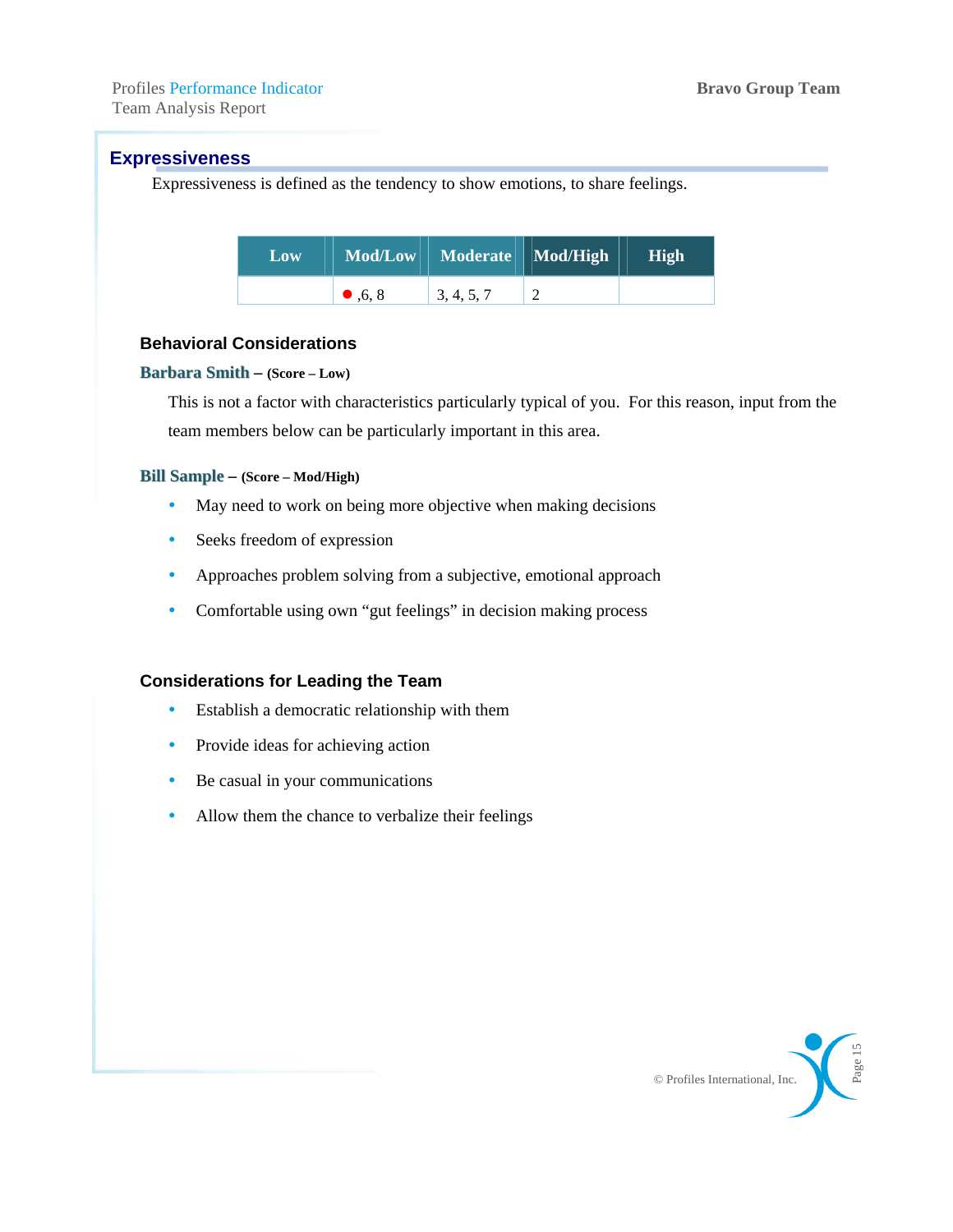#### **Expressiveness**

Expressiveness is defined as the tendency to show emotions, to share feelings.

| Low |                 | Mod/Low   Moderate   Mod/High | High |
|-----|-----------------|-------------------------------|------|
|     | $\bullet$ .6, 8 | 3, 4, 5, 7                    |      |

#### **Behavioral Considerations**

#### **Barbara Smith – (Score – Low)**

This is not a factor with characteristics particularly typical of you. For this reason, input from the team members below can be particularly important in this area.

#### **Bill Sample – (Score – Mod/High)**

- May need to work on being more objective when making decisions
- Seeks freedom of expression
- Approaches problem solving from a subjective, emotional approach
- Comfortable using own "gut feelings" in decision making process

- Establish a democratic relationship with them
- Provide ideas for achieving action
- Be casual in your communications
- Allow them the chance to verbalize their feelings

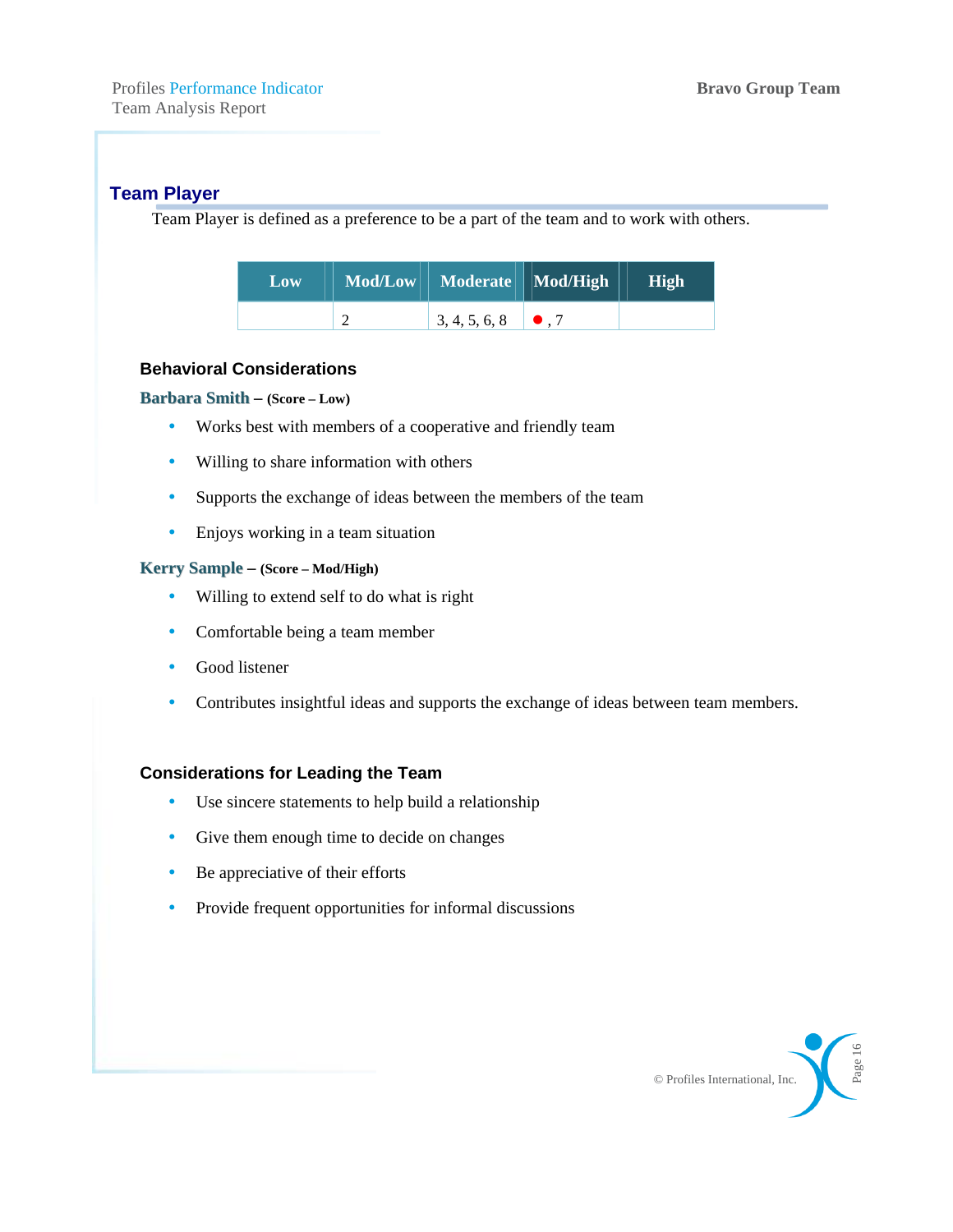## **Team Player**

Team Player is defined as a preference to be a part of the team and to work with others.

| Low | Mod/Low   Moderate   Mod/High | <b>High</b> |
|-----|-------------------------------|-------------|
|     | 3, 4, 5, 6, 8                 |             |

#### **Behavioral Considerations**

#### **Barbara Smith – (Score – Low)**

- Works best with members of a cooperative and friendly team
- Willing to share information with others
- Supports the exchange of ideas between the members of the team
- $\bullet$  Enjoys working in a team situation

#### **Kerry Sample – (Score – Mod/High)**

- Willing to extend self to do what is right
- Comfortable being a team member
- Good listener
- Contributes insightful ideas and supports the exchange of ideas between team members.

- Use sincere statements to help build a relationship
- Give them enough time to decide on changes
- $\bullet$  Be appreciative of their efforts
- Provide frequent opportunities for informal discussions